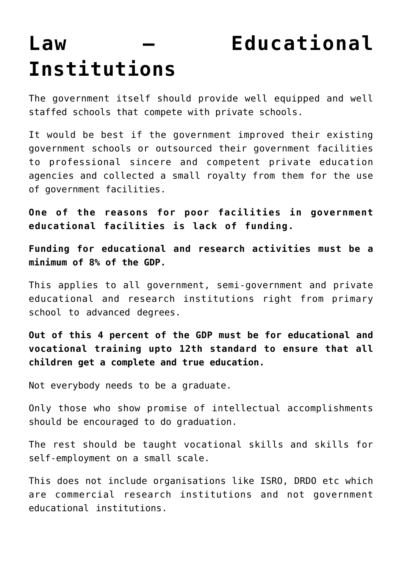## **[Institutions](https://aryadharma.world/laws/details-of-the-law/law-healthcare-and-education/law-education-2/)**

## **[Law – Educational](https://aryadharma.world/laws/details-of-the-law/law-healthcare-and-education/law-education-2/)**

The government itself should provide well equipped and well staffed schools that compete with private schools.

It would be best if the government improved their existing government schools or outsourced their government facilities to professional sincere and competent private education agencies and collected a small royalty from them for the use of government facilities.

**One of the reasons for poor facilities in government educational facilities is lack of funding.**

**Funding for educational and research activities must be a minimum of 8% of the GDP.** 

This applies to all government, semi-government and private educational and research institutions right from primary school to advanced degrees.

**Out of this 4 percent of the GDP must be for educational and vocational training upto 12th standard to ensure that all children get a [complete and true education.](https://aryadharma.world/articles/children/education/)**

Not everybody needs to be a graduate.

Only those who show promise of intellectual accomplishments should be encouraged to do graduation.

The rest should be taught vocational skills and skills for self-employment on a small scale.

This does not include organisations like ISRO, DRDO etc which are commercial research institutions and not government educational institutions.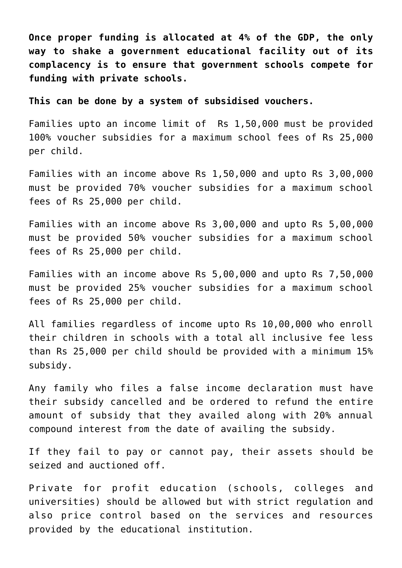**Once proper funding is allocated at 4% of the GDP, the only way to shake a government educational facility out of its complacency is to ensure that government schools compete for funding with private schools.**

**This can be done by a system of subsidised vouchers.**

Families upto an income limit of Rs 1,50,000 must be provided 100% voucher subsidies for a maximum school fees of Rs 25,000 per child.

Families with an income above Rs 1,50,000 and upto Rs 3,00,000 must be provided 70% voucher subsidies for a maximum school fees of Rs 25,000 per child.

Families with an income above Rs 3,00,000 and upto Rs 5,00,000 must be provided 50% voucher subsidies for a maximum school fees of Rs 25,000 per child.

Families with an income above Rs 5,00,000 and upto Rs 7,50,000 must be provided 25% voucher subsidies for a maximum school fees of Rs 25,000 per child.

All families regardless of income upto Rs 10,00,000 who enroll their children in schools with a total all inclusive fee less than Rs 25,000 per child should be provided with a minimum 15% subsidy.

Any family who files a false income declaration must have their subsidy cancelled and be ordered to refund the entire amount of subsidy that they availed along with 20% annual compound interest from the date of availing the subsidy.

If they fail to pay or cannot pay, their assets should be seized and auctioned off.

Private for profit education (schools, colleges and universities) should be allowed but with strict regulation and also price control based on the services and resources provided by the educational institution.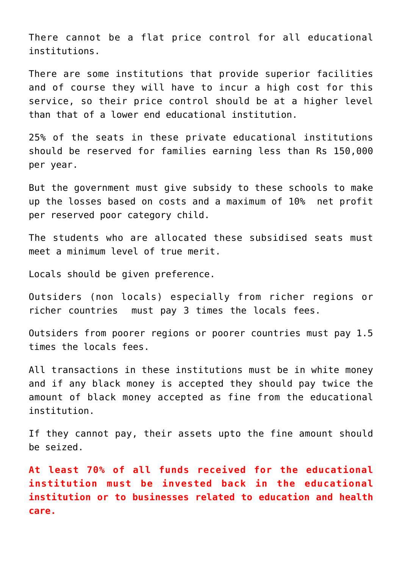There cannot be a flat price control for all educational institutions.

There are some institutions that provide superior facilities and of course they will have to incur a high cost for this service, so their price control should be at a higher level than that of a lower end educational institution.

25% of the seats in these private educational institutions should be reserved for families earning less than Rs 150,000 per year.

But the government must give subsidy to these schools to make up the losses based on costs and a maximum of 10% net profit per reserved poor category child.

The students who are allocated these subsidised seats must meet a minimum level of [true merit.](http://aryadharma.world/merit/)

[Locals](http://aryadharma.world/laws_immigration/) should be given preference.

Outsiders (non locals) especially from richer regions or richer countries must pay 3 times the locals fees.

Outsiders from poorer regions or poorer countries must pay 1.5 times the locals fees.

All transactions in these institutions must be in white money and if any black money is accepted they should pay twice the amount of black money accepted as fine from the educational institution.

If they cannot pay, their assets upto the fine amount should be seized.

**At least 70% of all funds received for the educational institution must be invested back in the educational institution or to businesses related to education and health care.**